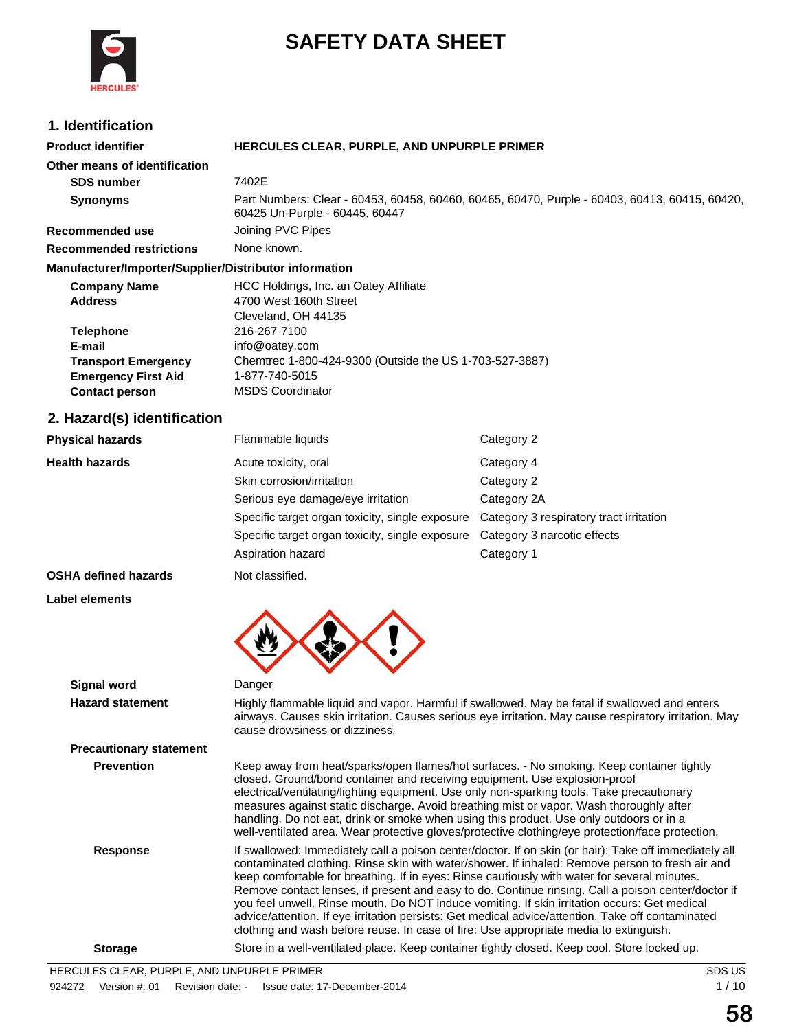

# **SAFETY DATA SHEET**

### **1. Identification**

| <b>1. IGENUITCAUON</b>                                                                                                                                   |                                                                                                                                                                                                                                          |                                                                                                                                 |
|----------------------------------------------------------------------------------------------------------------------------------------------------------|------------------------------------------------------------------------------------------------------------------------------------------------------------------------------------------------------------------------------------------|---------------------------------------------------------------------------------------------------------------------------------|
| <b>Product identifier</b>                                                                                                                                | HERCULES CLEAR, PURPLE, AND UNPURPLE PRIMER                                                                                                                                                                                              |                                                                                                                                 |
| Other means of identification                                                                                                                            |                                                                                                                                                                                                                                          |                                                                                                                                 |
| <b>SDS number</b>                                                                                                                                        | 7402E                                                                                                                                                                                                                                    |                                                                                                                                 |
| <b>Synonyms</b>                                                                                                                                          | 60425 Un-Purple - 60445, 60447                                                                                                                                                                                                           | Part Numbers: Clear - 60453, 60458, 60460, 60465, 60470, Purple - 60403, 60413, 60415, 60420,                                   |
| Recommended use                                                                                                                                          | Joining PVC Pipes                                                                                                                                                                                                                        |                                                                                                                                 |
| <b>Recommended restrictions</b>                                                                                                                          | None known.                                                                                                                                                                                                                              |                                                                                                                                 |
| Manufacturer/Importer/Supplier/Distributor information                                                                                                   |                                                                                                                                                                                                                                          |                                                                                                                                 |
| <b>Company Name</b><br><b>Address</b><br><b>Telephone</b><br>E-mail<br><b>Transport Emergency</b><br><b>Emergency First Aid</b><br><b>Contact person</b> | HCC Holdings, Inc. an Oatey Affiliate<br>4700 West 160th Street<br>Cleveland, OH 44135<br>216-267-7100<br>info@oatey.com<br>Chemtrec 1-800-424-9300 (Outside the US 1-703-527-3887)<br>1-877-740-5015<br><b>MSDS Coordinator</b>         |                                                                                                                                 |
| 2. Hazard(s) identification                                                                                                                              |                                                                                                                                                                                                                                          |                                                                                                                                 |
| <b>Physical hazards</b>                                                                                                                                  | Flammable liquids                                                                                                                                                                                                                        | Category 2                                                                                                                      |
| <b>Health hazards</b>                                                                                                                                    | Acute toxicity, oral<br>Skin corrosion/irritation<br>Serious eye damage/eye irritation<br>Specific target organ toxicity, single exposure<br>Specific target organ toxicity, single exposure<br>Aspiration hazard                        | Category 4<br>Category 2<br>Category 2A<br>Category 3 respiratory tract irritation<br>Category 3 narcotic effects<br>Category 1 |
| <b>OSHA defined hazards</b>                                                                                                                              | Not classified.                                                                                                                                                                                                                          |                                                                                                                                 |
| Label elements                                                                                                                                           |                                                                                                                                                                                                                                          |                                                                                                                                 |
| Signal word                                                                                                                                              | Danger                                                                                                                                                                                                                                   |                                                                                                                                 |
| <b>Hazard statement</b>                                                                                                                                  | Highly flammable liquid and vapor. Harmful if swallowed. May be fatal if swallowed and enters<br>airways. Causes skin irritation. Causes serious eye irritation. May cause respiratory irritation. May<br>cause drowsiness or dizziness. |                                                                                                                                 |
| <b>Precautionary statement</b>                                                                                                                           |                                                                                                                                                                                                                                          |                                                                                                                                 |
| <b>Prevention</b>                                                                                                                                        | Keep away from heat/sparks/open flames/hot surfaces. - No smoking. Keep container tightly                                                                                                                                                |                                                                                                                                 |

closed. Ground/bond container and receiving equipment. Use explosion-proof electrical/ventilating/lighting equipment. Use only non-sparking tools. Take precautionary measures against static discharge. Avoid breathing mist or vapor. Wash thoroughly after handling. Do not eat, drink or smoke when using this product. Use only outdoors or in a well-ventilated area. Wear protective gloves/protective clothing/eye protection/face protection.

**Response** If swallowed: Immediately call a poison center/doctor. If on skin (or hair): Take off immediately all contaminated clothing. Rinse skin with water/shower. If inhaled: Remove person to fresh air and keep comfortable for breathing. If in eyes: Rinse cautiously with water for several minutes. Remove contact lenses, if present and easy to do. Continue rinsing. Call a poison center/doctor if you feel unwell. Rinse mouth. Do NOT induce vomiting. If skin irritation occurs: Get medical advice/attention. If eye irritation persists: Get medical advice/attention. Take off contaminated clothing and wash before reuse. In case of fire: Use appropriate media to extinguish.

**Storage** Store in a well-ventilated place. Keep container tightly closed. Keep cool. Store locked up.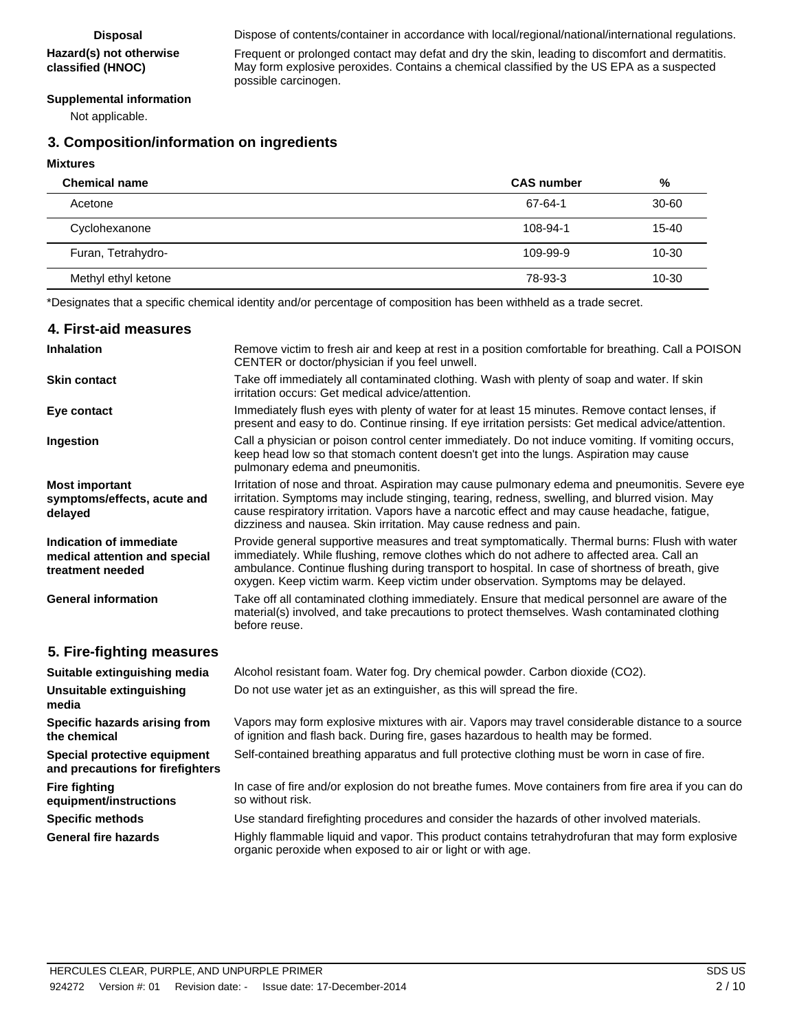# **Hazard(s) not otherwise**

**classified (HNOC)**

Frequent or prolonged contact may defat and dry the skin, leading to discomfort and dermatitis. May form explosive peroxides. Contains a chemical classified by the US EPA as a suspected possible carcinogen.

#### **Supplemental information**

Not applicable.

### **3. Composition/information on ingredients**

#### **Mixtures**

| <b>Chemical name</b> | <b>CAS</b> number | %         |
|----------------------|-------------------|-----------|
| Acetone              | 67-64-1           | $30 - 60$ |
| Cyclohexanone        | 108-94-1          | $15 - 40$ |
| Furan, Tetrahydro-   | 109-99-9          | $10 - 30$ |
| Methyl ethyl ketone  | 78-93-3           | $10 - 30$ |

\*Designates that a specific chemical identity and/or percentage of composition has been withheld as a trade secret.

| 4. First-aid measures                                                        |                                                                                                                                                                                                                                                                                                                                                                                     |
|------------------------------------------------------------------------------|-------------------------------------------------------------------------------------------------------------------------------------------------------------------------------------------------------------------------------------------------------------------------------------------------------------------------------------------------------------------------------------|
| <b>Inhalation</b>                                                            | Remove victim to fresh air and keep at rest in a position comfortable for breathing. Call a POISON<br>CENTER or doctor/physician if you feel unwell.                                                                                                                                                                                                                                |
| <b>Skin contact</b>                                                          | Take off immediately all contaminated clothing. Wash with plenty of soap and water. If skin<br>irritation occurs: Get medical advice/attention.                                                                                                                                                                                                                                     |
| Eye contact                                                                  | Immediately flush eyes with plenty of water for at least 15 minutes. Remove contact lenses, if<br>present and easy to do. Continue rinsing. If eye irritation persists: Get medical advice/attention.                                                                                                                                                                               |
| Ingestion                                                                    | Call a physician or poison control center immediately. Do not induce vomiting. If vomiting occurs,<br>keep head low so that stomach content doesn't get into the lungs. Aspiration may cause<br>pulmonary edema and pneumonitis.                                                                                                                                                    |
| <b>Most important</b><br>symptoms/effects, acute and<br>delayed              | Irritation of nose and throat. Aspiration may cause pulmonary edema and pneumonitis. Severe eye<br>irritation. Symptoms may include stinging, tearing, redness, swelling, and blurred vision. May<br>cause respiratory irritation. Vapors have a narcotic effect and may cause headache, fatigue,<br>dizziness and nausea. Skin irritation. May cause redness and pain.             |
| Indication of immediate<br>medical attention and special<br>treatment needed | Provide general supportive measures and treat symptomatically. Thermal burns: Flush with water<br>immediately. While flushing, remove clothes which do not adhere to affected area. Call an<br>ambulance. Continue flushing during transport to hospital. In case of shortness of breath, give<br>oxygen. Keep victim warm. Keep victim under observation. Symptoms may be delayed. |
| <b>General information</b>                                                   | Take off all contaminated clothing immediately. Ensure that medical personnel are aware of the<br>material(s) involved, and take precautions to protect themselves. Wash contaminated clothing<br>before reuse.                                                                                                                                                                     |
| 5. Fire-fighting measures                                                    |                                                                                                                                                                                                                                                                                                                                                                                     |
| Suitable extinguishing media                                                 | Alcohol resistant foam. Water fog. Dry chemical powder. Carbon dioxide (CO2).                                                                                                                                                                                                                                                                                                       |
| Unsuitable extinguishing<br>media                                            | Do not use water jet as an extinguisher, as this will spread the fire.                                                                                                                                                                                                                                                                                                              |
| Specific hazards arising from<br>the chemical                                | Vapors may form explosive mixtures with air. Vapors may travel considerable distance to a source<br>of ignition and flash back. During fire, gases hazardous to health may be formed.                                                                                                                                                                                               |
| Special protective equipment<br>and precautions for firefighters             | Self-contained breathing apparatus and full protective clothing must be worn in case of fire.                                                                                                                                                                                                                                                                                       |
| <b>Fire fighting</b><br>equipment/instructions                               | In case of fire and/or explosion do not breathe fumes. Move containers from fire area if you can do<br>so without risk.                                                                                                                                                                                                                                                             |
| <b>Specific methods</b>                                                      | Use standard firefighting procedures and consider the hazards of other involved materials.                                                                                                                                                                                                                                                                                          |

General fire hazards **Highly flammable liquid and vapor.** This product contains tetrahydrofuran that may form explosive organic peroxide when exposed to air or light or with age.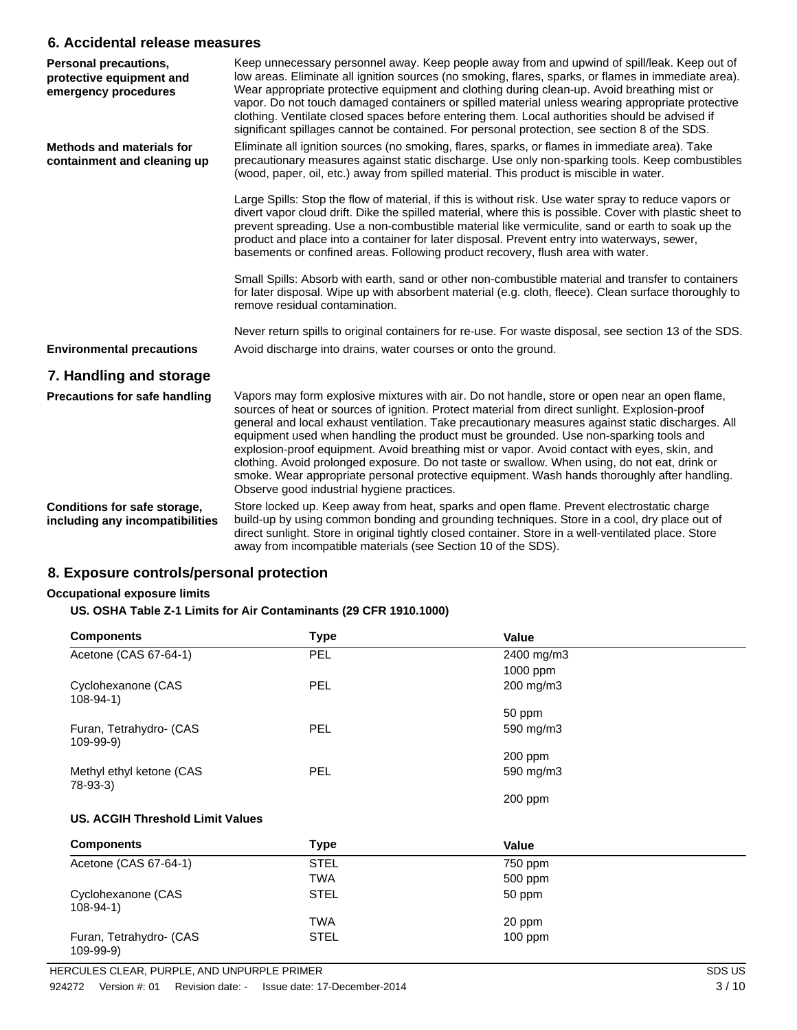### **6. Accidental release measures**

| Personal precautions,<br>protective equipment and<br>emergency procedures | Keep unnecessary personnel away. Keep people away from and upwind of spill/leak. Keep out of<br>low areas. Eliminate all ignition sources (no smoking, flares, sparks, or flames in immediate area).<br>Wear appropriate protective equipment and clothing during clean-up. Avoid breathing mist or<br>vapor. Do not touch damaged containers or spilled material unless wearing appropriate protective<br>clothing. Ventilate closed spaces before entering them. Local authorities should be advised if<br>significant spillages cannot be contained. For personal protection, see section 8 of the SDS.                                                                                                                                   |
|---------------------------------------------------------------------------|----------------------------------------------------------------------------------------------------------------------------------------------------------------------------------------------------------------------------------------------------------------------------------------------------------------------------------------------------------------------------------------------------------------------------------------------------------------------------------------------------------------------------------------------------------------------------------------------------------------------------------------------------------------------------------------------------------------------------------------------|
| <b>Methods and materials for</b><br>containment and cleaning up           | Eliminate all ignition sources (no smoking, flares, sparks, or flames in immediate area). Take<br>precautionary measures against static discharge. Use only non-sparking tools. Keep combustibles<br>(wood, paper, oil, etc.) away from spilled material. This product is miscible in water.                                                                                                                                                                                                                                                                                                                                                                                                                                                 |
|                                                                           | Large Spills: Stop the flow of material, if this is without risk. Use water spray to reduce vapors or<br>divert vapor cloud drift. Dike the spilled material, where this is possible. Cover with plastic sheet to<br>prevent spreading. Use a non-combustible material like vermiculite, sand or earth to soak up the<br>product and place into a container for later disposal. Prevent entry into waterways, sewer,<br>basements or confined areas. Following product recovery, flush area with water.                                                                                                                                                                                                                                      |
|                                                                           | Small Spills: Absorb with earth, sand or other non-combustible material and transfer to containers<br>for later disposal. Wipe up with absorbent material (e.g. cloth, fleece). Clean surface thoroughly to<br>remove residual contamination.                                                                                                                                                                                                                                                                                                                                                                                                                                                                                                |
|                                                                           | Never return spills to original containers for re-use. For waste disposal, see section 13 of the SDS.                                                                                                                                                                                                                                                                                                                                                                                                                                                                                                                                                                                                                                        |
| <b>Environmental precautions</b>                                          | Avoid discharge into drains, water courses or onto the ground.                                                                                                                                                                                                                                                                                                                                                                                                                                                                                                                                                                                                                                                                               |
| 7. Handling and storage                                                   |                                                                                                                                                                                                                                                                                                                                                                                                                                                                                                                                                                                                                                                                                                                                              |
| <b>Precautions for safe handling</b>                                      | Vapors may form explosive mixtures with air. Do not handle, store or open near an open flame,<br>sources of heat or sources of ignition. Protect material from direct sunlight. Explosion-proof<br>general and local exhaust ventilation. Take precautionary measures against static discharges. All<br>equipment used when handling the product must be grounded. Use non-sparking tools and<br>explosion-proof equipment. Avoid breathing mist or vapor. Avoid contact with eyes, skin, and<br>clothing. Avoid prolonged exposure. Do not taste or swallow. When using, do not eat, drink or<br>smoke. Wear appropriate personal protective equipment. Wash hands thoroughly after handling.<br>Observe good industrial hygiene practices. |
| Conditions for safe storage,<br>including any incompatibilities           | Store locked up. Keep away from heat, sparks and open flame. Prevent electrostatic charge<br>build-up by using common bonding and grounding techniques. Store in a cool, dry place out of<br>direct sunlight. Store in original tightly closed container. Store in a well-ventilated place. Store<br>away from incompatible materials (see Section 10 of the SDS).                                                                                                                                                                                                                                                                                                                                                                           |

### **8. Exposure controls/personal protection**

#### **Occupational exposure limits**

#### **US. OSHA Table Z-1 Limits for Air Contaminants (29 CFR 1910.1000)**

| <b>Components</b>                          | <b>Type</b> | Value      |  |
|--------------------------------------------|-------------|------------|--|
| Acetone (CAS 67-64-1)                      | <b>PEL</b>  | 2400 mg/m3 |  |
|                                            |             | 1000 ppm   |  |
| Cyclohexanone (CAS<br>$108-94-1)$          | <b>PEL</b>  | 200 mg/m3  |  |
|                                            |             | 50 ppm     |  |
| Furan, Tetrahydro- (CAS<br>$109-99-9)$     | <b>PEL</b>  | 590 mg/m3  |  |
|                                            |             | 200 ppm    |  |
| Methyl ethyl ketone (CAS<br>78-93-3)       | <b>PEL</b>  | 590 mg/m3  |  |
|                                            |             | 200 ppm    |  |
| <b>US. ACGIH Threshold Limit Values</b>    |             |            |  |
| <b>Components</b>                          | <b>Type</b> | Value      |  |
| Acetone (CAS 67-64-1)                      | <b>STEL</b> | 750 ppm    |  |
|                                            | <b>TWA</b>  | 500 ppm    |  |
| Cyclohexanone (CAS<br>$108-94-1)$          | <b>STEL</b> | 50 ppm     |  |
|                                            | <b>TWA</b>  | 20 ppm     |  |
| Furan, Tetrahydro- (CAS<br>$109 - 99 - 9)$ | <b>STEL</b> | $100$ ppm  |  |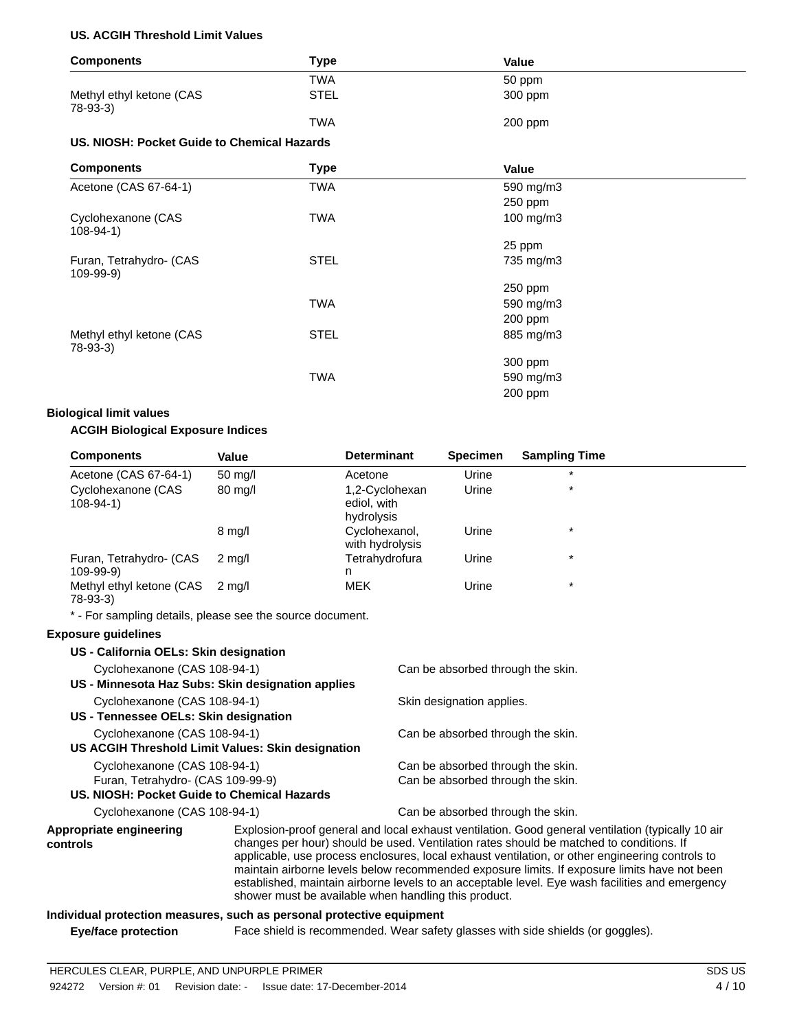#### **US. ACGIH Threshold Limit Values**

| <b>Components</b>                           | <b>Type</b> | Value          |  |
|---------------------------------------------|-------------|----------------|--|
|                                             | <b>TWA</b>  | 50 ppm         |  |
| Methyl ethyl ketone (CAS<br>78-93-3)        | <b>STEL</b> | 300 ppm        |  |
|                                             | <b>TWA</b>  | 200 ppm        |  |
| US. NIOSH: Pocket Guide to Chemical Hazards |             |                |  |
| <b>Components</b>                           | <b>Type</b> | Value          |  |
| Acetone (CAS 67-64-1)                       | <b>TWA</b>  | 590 mg/m3      |  |
|                                             |             | 250 ppm        |  |
| Cyclohexanone (CAS<br>$108-94-1)$           | TWA         | $100$ mg/m $3$ |  |
|                                             |             | 25 ppm         |  |
| Furan, Tetrahydro- (CAS<br>$109-99-9)$      | <b>STEL</b> | 735 mg/m3      |  |
|                                             |             | 250 ppm        |  |
|                                             | <b>TWA</b>  | 590 mg/m3      |  |
|                                             |             | 200 ppm        |  |
| Methyl ethyl ketone (CAS<br>78-93-3)        | <b>STEL</b> | 885 mg/m3      |  |
|                                             |             | 300 ppm        |  |
|                                             | <b>TWA</b>  | 590 mg/m3      |  |
|                                             |             | 200 ppm        |  |

#### **Biological limit values**

#### **ACGIH Biological Exposure Indices**

| <b>Components</b>                    | Value             | <b>Determinant</b>                          | <b>Specimen</b> | <b>Sampling Time</b> |  |
|--------------------------------------|-------------------|---------------------------------------------|-----------------|----------------------|--|
| Acetone (CAS 67-64-1)                | $50 \text{ mq/l}$ | Acetone                                     | Urine           | $\star$              |  |
| Cyclohexanone (CAS<br>$108 - 94 - 1$ | $80 \text{ mg/l}$ | 1,2-Cyclohexan<br>ediol, with<br>hydrolysis | Urine           | $\star$              |  |
|                                      | $8 \text{ mg/l}$  | Cyclohexanol,<br>with hydrolysis            | Urine           | $\star$              |  |
| Furan, Tetrahydro- (CAS<br>109-99-9) | 2 ma/l            | Tetrahydrofura<br>n                         | Urine           | $\star$              |  |
| Methyl ethyl ketone (CAS<br>78-93-3) | 2 ma/l            | <b>MEK</b>                                  | Urine           | $\star$              |  |

\* - For sampling details, please see the source document.

#### **Exposure guidelines**

| US - California OELs: Skin designation            |                                                   |                                                                                                                                                                                                                        |
|---------------------------------------------------|---------------------------------------------------|------------------------------------------------------------------------------------------------------------------------------------------------------------------------------------------------------------------------|
| Cyclohexanone (CAS 108-94-1)                      |                                                   | Can be absorbed through the skin.                                                                                                                                                                                      |
| US - Minnesota Haz Subs: Skin designation applies |                                                   |                                                                                                                                                                                                                        |
| Cyclohexanone (CAS 108-94-1)                      |                                                   | Skin designation applies.                                                                                                                                                                                              |
| US - Tennessee OELs: Skin designation             |                                                   |                                                                                                                                                                                                                        |
| Cyclohexanone (CAS 108-94-1)                      |                                                   | Can be absorbed through the skin.                                                                                                                                                                                      |
|                                                   | US ACGIH Threshold Limit Values: Skin designation |                                                                                                                                                                                                                        |
| Cyclohexanone (CAS 108-94-1)                      |                                                   | Can be absorbed through the skin.                                                                                                                                                                                      |
| Furan, Tetrahydro- (CAS 109-99-9)                 |                                                   | Can be absorbed through the skin.                                                                                                                                                                                      |
| US. NIOSH: Pocket Guide to Chemical Hazards       |                                                   |                                                                                                                                                                                                                        |
| Cyclohexanone (CAS 108-94-1)                      |                                                   | Can be absorbed through the skin.                                                                                                                                                                                      |
| Appropriate engineering<br>controls               |                                                   | Explosion-proof general and local exhaust ventilation. Good general ve<br>changes per hour) should be used. Ventilation rates should be matche<br>applicable use process applequing local exhaust ventilation or other |

#### entilation (typically 10 air ed to conditions. If applicable, use process enclosures, local exhaust ventilation, or other engineering controls to maintain airborne levels below recommended exposure limits. If exposure limits have not been established, maintain airborne levels to an acceptable level. Eye wash facilities and emergency shower must be available when handling this product.

#### **Individual protection measures, such as personal protective equipment**

**Eye/face protection** Face shield is recommended. Wear safety glasses with side shields (or goggles).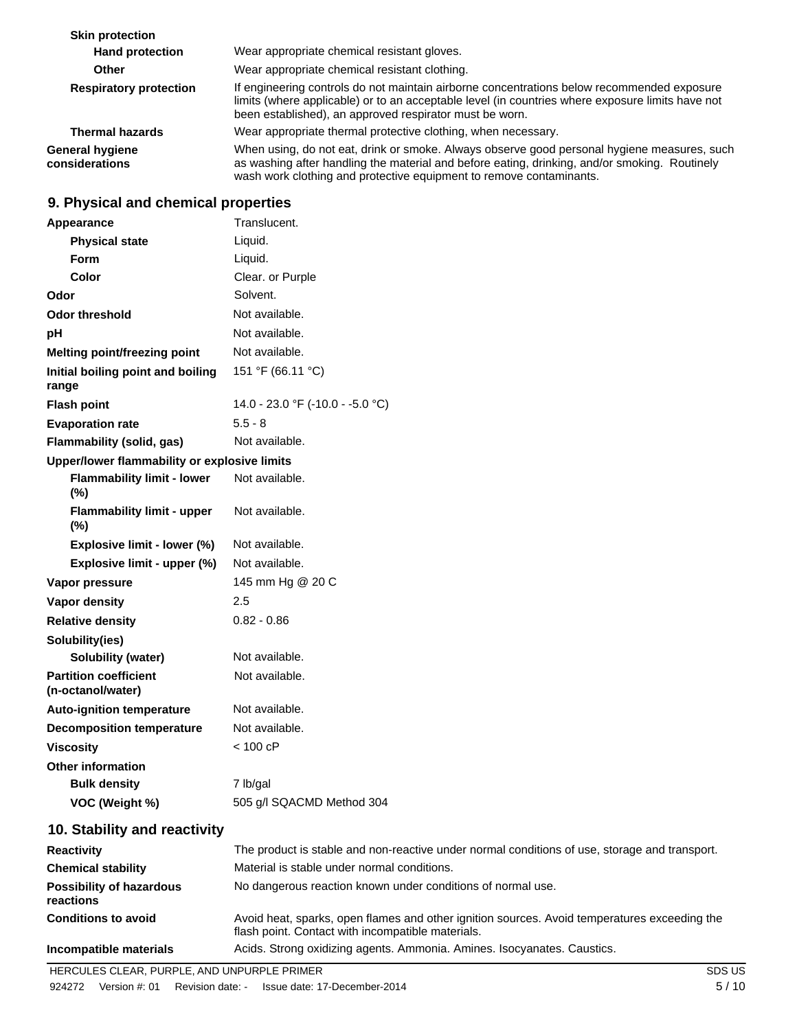| <b>Skin protection</b>                   |                                                                                                                                                                                                                                                                     |
|------------------------------------------|---------------------------------------------------------------------------------------------------------------------------------------------------------------------------------------------------------------------------------------------------------------------|
| <b>Hand protection</b>                   | Wear appropriate chemical resistant gloves.                                                                                                                                                                                                                         |
| <b>Other</b>                             | Wear appropriate chemical resistant clothing.                                                                                                                                                                                                                       |
| <b>Respiratory protection</b>            | If engineering controls do not maintain airborne concentrations below recommended exposure<br>limits (where applicable) or to an acceptable level (in countries where exposure limits have not<br>been established), an approved respirator must be worn.           |
| <b>Thermal hazards</b>                   | Wear appropriate thermal protective clothing, when necessary.                                                                                                                                                                                                       |
| <b>General hygiene</b><br>considerations | When using, do not eat, drink or smoke. Always observe good personal hygiene measures, such<br>as washing after handling the material and before eating, drinking, and/or smoking. Routinely<br>wash work clothing and protective equipment to remove contaminants. |

## **9. Physical and chemical properties**

| Appearance                                        | Translucent.                     |
|---------------------------------------------------|----------------------------------|
| <b>Physical state</b>                             | Liquid.                          |
| Form                                              | Liquid.                          |
| Color                                             | Clear. or Purple                 |
| Odor                                              | Solvent.                         |
| <b>Odor threshold</b>                             | Not available.                   |
| pH                                                | Not available.                   |
| Melting point/freezing point                      | Not available.                   |
| Initial boiling point and boiling<br>range        | 151 °F (66.11 °C)                |
| <b>Flash point</b>                                | 14.0 - 23.0 °F (-10.0 - -5.0 °C) |
| <b>Evaporation rate</b>                           | $5.5 - 8$                        |
| Flammability (solid, gas)                         | Not available.                   |
| Upper/lower flammability or explosive limits      |                                  |
| <b>Flammability limit - lower</b><br>(%)          | Not available.                   |
| <b>Flammability limit - upper</b><br>$(\%)$       | Not available.                   |
| Explosive limit - lower (%)                       | Not available.                   |
| Explosive limit - upper (%)                       | Not available.                   |
| Vapor pressure                                    | 145 mm Hg @ 20 C                 |
| Vapor density                                     | 2.5                              |
| <b>Relative density</b>                           | $0.82 - 0.86$                    |
| Solubility(ies)                                   |                                  |
| <b>Solubility (water)</b>                         | Not available.                   |
| <b>Partition coefficient</b><br>(n-octanol/water) | Not available.                   |
| <b>Auto-ignition temperature</b>                  | Not available.                   |
| <b>Decomposition temperature</b>                  | Not available.                   |
| <b>Viscosity</b>                                  | $< 100$ cP                       |
| <b>Other information</b>                          |                                  |
| <b>Bulk density</b>                               | 7 lb/gal                         |
| VOC (Weight %)                                    | 505 g/l SQACMD Method 304        |
|                                                   |                                  |

### **10. Stability and reactivity**

| <b>Reactivity</b>                            | The product is stable and non-reactive under normal conditions of use, storage and transport.                                                     |
|----------------------------------------------|---------------------------------------------------------------------------------------------------------------------------------------------------|
| <b>Chemical stability</b>                    | Material is stable under normal conditions.                                                                                                       |
| <b>Possibility of hazardous</b><br>reactions | No dangerous reaction known under conditions of normal use.                                                                                       |
| <b>Conditions to avoid</b>                   | Avoid heat, sparks, open flames and other ignition sources. Avoid temperatures exceeding the<br>flash point. Contact with incompatible materials. |
| Incompatible materials                       | Acids. Strong oxidizing agents. Ammonia. Amines. Isocyanates. Caustics.                                                                           |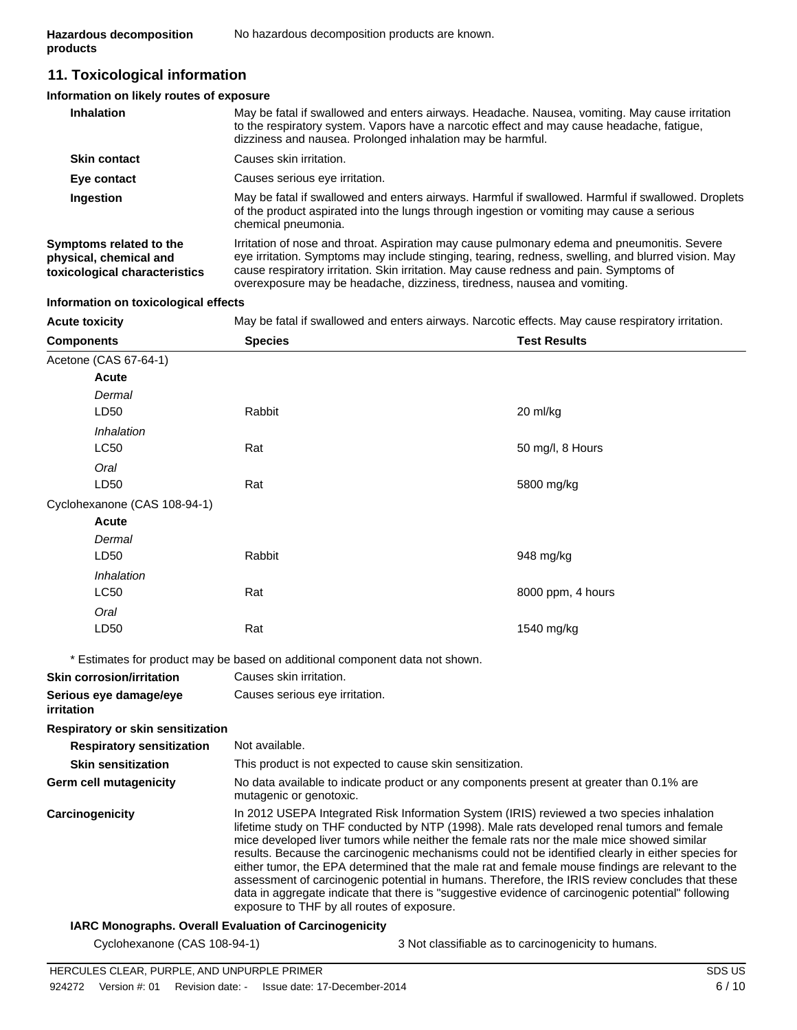### **11. Toxicological information**

#### **Information on likely routes of exposure**

| <b>Inhalation</b>                                                                  | May be fatal if swallowed and enters airways. Headache. Nausea, vomiting. May cause irritation<br>to the respiratory system. Vapors have a narcotic effect and may cause headache, fatigue,<br>dizziness and nausea. Prolonged inhalation may be harmful.                                                                                                               |
|------------------------------------------------------------------------------------|-------------------------------------------------------------------------------------------------------------------------------------------------------------------------------------------------------------------------------------------------------------------------------------------------------------------------------------------------------------------------|
| <b>Skin contact</b>                                                                | Causes skin irritation.                                                                                                                                                                                                                                                                                                                                                 |
| Eye contact                                                                        | Causes serious eye irritation.                                                                                                                                                                                                                                                                                                                                          |
| Ingestion                                                                          | May be fatal if swallowed and enters airways. Harmful if swallowed. Harmful if swallowed. Droplets<br>of the product aspirated into the lungs through ingestion or vomiting may cause a serious<br>chemical pneumonia.                                                                                                                                                  |
| Symptoms related to the<br>physical, chemical and<br>toxicological characteristics | Irritation of nose and throat. Aspiration may cause pulmonary edema and pneumonitis. Severe<br>eye irritation. Symptoms may include stinging, tearing, redness, swelling, and blurred vision. May<br>cause respiratory irritation. Skin irritation. May cause redness and pain. Symptoms of<br>overexposure may be headache, dizziness, tiredness, nausea and vomiting. |

#### **Information on toxicological effects**

**Acute toxicity** May be fatal if swallowed and enters airways. Narcotic effects. May cause respiratory irritation.

| <b>Components</b>                    | <b>Species</b>                                                                                                                                                                                                                                                                                                                                                                                                                                                                                                                                                                                                                                                                                                                                         | <b>Test Results</b> |  |
|--------------------------------------|--------------------------------------------------------------------------------------------------------------------------------------------------------------------------------------------------------------------------------------------------------------------------------------------------------------------------------------------------------------------------------------------------------------------------------------------------------------------------------------------------------------------------------------------------------------------------------------------------------------------------------------------------------------------------------------------------------------------------------------------------------|---------------------|--|
| Acetone (CAS 67-64-1)                |                                                                                                                                                                                                                                                                                                                                                                                                                                                                                                                                                                                                                                                                                                                                                        |                     |  |
| Acute                                |                                                                                                                                                                                                                                                                                                                                                                                                                                                                                                                                                                                                                                                                                                                                                        |                     |  |
| Dermal                               |                                                                                                                                                                                                                                                                                                                                                                                                                                                                                                                                                                                                                                                                                                                                                        |                     |  |
| LD50                                 | Rabbit                                                                                                                                                                                                                                                                                                                                                                                                                                                                                                                                                                                                                                                                                                                                                 | 20 ml/kg            |  |
| Inhalation                           |                                                                                                                                                                                                                                                                                                                                                                                                                                                                                                                                                                                                                                                                                                                                                        |                     |  |
| <b>LC50</b>                          | Rat                                                                                                                                                                                                                                                                                                                                                                                                                                                                                                                                                                                                                                                                                                                                                    | 50 mg/l, 8 Hours    |  |
| Oral                                 |                                                                                                                                                                                                                                                                                                                                                                                                                                                                                                                                                                                                                                                                                                                                                        |                     |  |
| LD50                                 | Rat                                                                                                                                                                                                                                                                                                                                                                                                                                                                                                                                                                                                                                                                                                                                                    | 5800 mg/kg          |  |
| Cyclohexanone (CAS 108-94-1)         |                                                                                                                                                                                                                                                                                                                                                                                                                                                                                                                                                                                                                                                                                                                                                        |                     |  |
| <b>Acute</b>                         |                                                                                                                                                                                                                                                                                                                                                                                                                                                                                                                                                                                                                                                                                                                                                        |                     |  |
| Dermal                               |                                                                                                                                                                                                                                                                                                                                                                                                                                                                                                                                                                                                                                                                                                                                                        |                     |  |
| LD50                                 | Rabbit                                                                                                                                                                                                                                                                                                                                                                                                                                                                                                                                                                                                                                                                                                                                                 | 948 mg/kg           |  |
| Inhalation                           |                                                                                                                                                                                                                                                                                                                                                                                                                                                                                                                                                                                                                                                                                                                                                        |                     |  |
| <b>LC50</b>                          | Rat                                                                                                                                                                                                                                                                                                                                                                                                                                                                                                                                                                                                                                                                                                                                                    | 8000 ppm, 4 hours   |  |
| Oral                                 |                                                                                                                                                                                                                                                                                                                                                                                                                                                                                                                                                                                                                                                                                                                                                        |                     |  |
| LD50                                 | Rat                                                                                                                                                                                                                                                                                                                                                                                                                                                                                                                                                                                                                                                                                                                                                    | 1540 mg/kg          |  |
|                                      | * Estimates for product may be based on additional component data not shown.                                                                                                                                                                                                                                                                                                                                                                                                                                                                                                                                                                                                                                                                           |                     |  |
| <b>Skin corrosion/irritation</b>     | Causes skin irritation.                                                                                                                                                                                                                                                                                                                                                                                                                                                                                                                                                                                                                                                                                                                                |                     |  |
| Serious eye damage/eye<br>irritation | Causes serious eye irritation.                                                                                                                                                                                                                                                                                                                                                                                                                                                                                                                                                                                                                                                                                                                         |                     |  |
| Respiratory or skin sensitization    |                                                                                                                                                                                                                                                                                                                                                                                                                                                                                                                                                                                                                                                                                                                                                        |                     |  |
| <b>Respiratory sensitization</b>     | Not available.                                                                                                                                                                                                                                                                                                                                                                                                                                                                                                                                                                                                                                                                                                                                         |                     |  |
| <b>Skin sensitization</b>            | This product is not expected to cause skin sensitization.                                                                                                                                                                                                                                                                                                                                                                                                                                                                                                                                                                                                                                                                                              |                     |  |
| <b>Germ cell mutagenicity</b>        | No data available to indicate product or any components present at greater than 0.1% are<br>mutagenic or genotoxic.                                                                                                                                                                                                                                                                                                                                                                                                                                                                                                                                                                                                                                    |                     |  |
| Carcinogenicity                      | In 2012 USEPA Integrated Risk Information System (IRIS) reviewed a two species inhalation<br>lifetime study on THF conducted by NTP (1998). Male rats developed renal tumors and female<br>mice developed liver tumors while neither the female rats nor the male mice showed similar<br>results. Because the carcinogenic mechanisms could not be identified clearly in either species for<br>either tumor, the EPA determined that the male rat and female mouse findings are relevant to the<br>assessment of carcinogenic potential in humans. Therefore, the IRIS review concludes that these<br>data in aggregate indicate that there is "suggestive evidence of carcinogenic potential" following<br>exposure to THF by all routes of exposure. |                     |  |
|                                      | <b>IARC Monographs. Overall Evaluation of Carcinogenicity</b>                                                                                                                                                                                                                                                                                                                                                                                                                                                                                                                                                                                                                                                                                          |                     |  |

Cyclohexanone (CAS 108-94-1) 3 Not classifiable as to carcinogenicity to humans.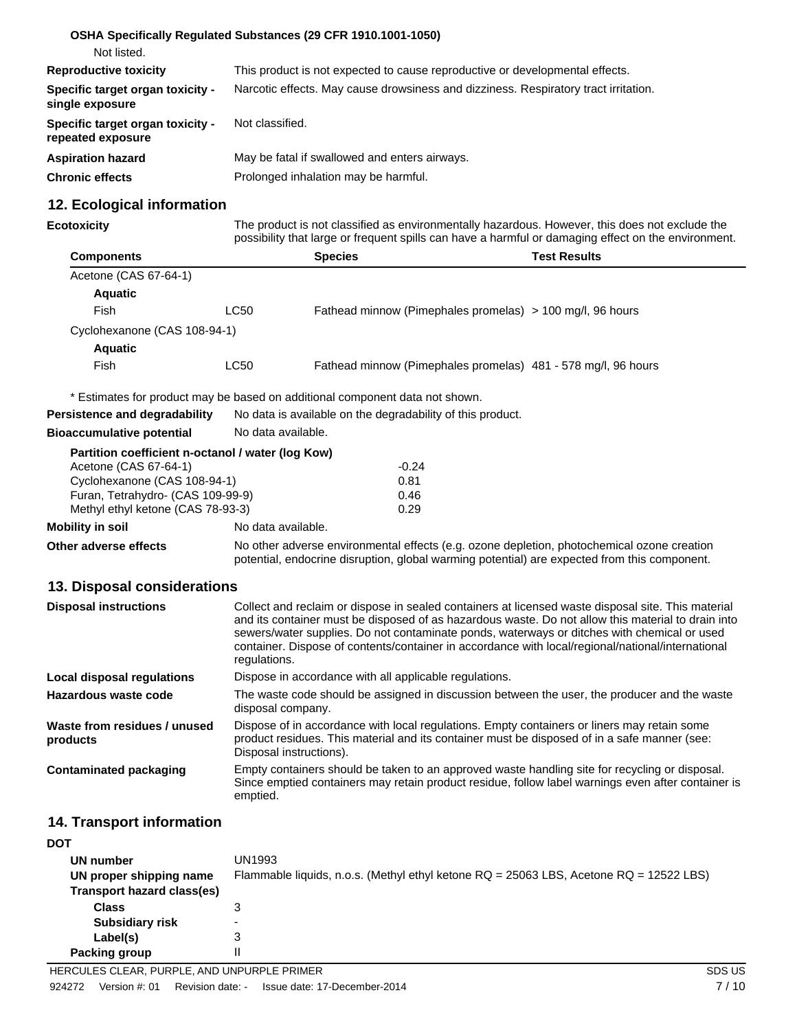|                                                       | OSHA Specifically Regulated Substances (29 CFR 1910.1001-1050)                      |
|-------------------------------------------------------|-------------------------------------------------------------------------------------|
| Not listed.                                           |                                                                                     |
| <b>Reproductive toxicity</b>                          | This product is not expected to cause reproductive or developmental effects.        |
| Specific target organ toxicity -<br>single exposure   | Narcotic effects. May cause drowsiness and dizziness. Respiratory tract irritation. |
| Specific target organ toxicity -<br>repeated exposure | Not classified.                                                                     |
| <b>Aspiration hazard</b>                              | May be fatal if swallowed and enters airways.                                       |
| <b>Chronic effects</b>                                | Prolonged inhalation may be harmful.                                                |

### **12. Ecological information**

| Ecotoxicity |  |  |
|-------------|--|--|
|             |  |  |

**Ecotoxicity** The product is not classified as environmentally hazardous. However, this does not exclude the possibility that large or frequent spills can have a harmful or damaging effect on the environment.

| <b>Components</b>            |      | <b>Species</b>                                                | Test Results |
|------------------------------|------|---------------------------------------------------------------|--------------|
| Acetone (CAS 67-64-1)        |      |                                                               |              |
| <b>Aquatic</b>               |      |                                                               |              |
| Fish                         | LC50 | Fathead minnow (Pimephales promelas) > 100 mg/l, 96 hours     |              |
| Cyclohexanone (CAS 108-94-1) |      |                                                               |              |
| <b>Aquatic</b>               |      |                                                               |              |
| Fish                         | LC50 | Fathead minnow (Pimephales promelas) 481 - 578 mg/l, 96 hours |              |

\* Estimates for product may be based on additional component data not shown.

|                                                   | * Estimates for product may be based on additional component data not shown.                                                                                                                                                                                                                                                                                                                                                 |                                                                                              |  |
|---------------------------------------------------|------------------------------------------------------------------------------------------------------------------------------------------------------------------------------------------------------------------------------------------------------------------------------------------------------------------------------------------------------------------------------------------------------------------------------|----------------------------------------------------------------------------------------------|--|
| <b>Persistence and degradability</b>              | No data is available on the degradability of this product.                                                                                                                                                                                                                                                                                                                                                                   |                                                                                              |  |
| <b>Bioaccumulative potential</b>                  | No data available.                                                                                                                                                                                                                                                                                                                                                                                                           |                                                                                              |  |
| Partition coefficient n-octanol / water (log Kow) |                                                                                                                                                                                                                                                                                                                                                                                                                              |                                                                                              |  |
| Acetone (CAS 67-64-1)                             |                                                                                                                                                                                                                                                                                                                                                                                                                              | $-0.24$                                                                                      |  |
| Cyclohexanone (CAS 108-94-1)                      |                                                                                                                                                                                                                                                                                                                                                                                                                              | 0.81                                                                                         |  |
| Furan, Tetrahydro- (CAS 109-99-9)                 |                                                                                                                                                                                                                                                                                                                                                                                                                              | 0.46                                                                                         |  |
| Methyl ethyl ketone (CAS 78-93-3)                 |                                                                                                                                                                                                                                                                                                                                                                                                                              | 0.29                                                                                         |  |
| <b>Mobility in soil</b>                           | No data available.                                                                                                                                                                                                                                                                                                                                                                                                           |                                                                                              |  |
| Other adverse effects                             | No other adverse environmental effects (e.g. ozone depletion, photochemical ozone creation<br>potential, endocrine disruption, global warming potential) are expected from this component.                                                                                                                                                                                                                                   |                                                                                              |  |
| 13. Disposal considerations                       |                                                                                                                                                                                                                                                                                                                                                                                                                              |                                                                                              |  |
| <b>Disposal instructions</b>                      | Collect and reclaim or dispose in sealed containers at licensed waste disposal site. This material<br>and its container must be disposed of as hazardous waste. Do not allow this material to drain into<br>sewers/water supplies. Do not contaminate ponds, waterways or ditches with chemical or used<br>container. Dispose of contents/container in accordance with local/regional/national/international<br>regulations. |                                                                                              |  |
| Local disposal regulations                        | Dispose in accordance with all applicable regulations.                                                                                                                                                                                                                                                                                                                                                                       |                                                                                              |  |
| Hazardous waste code                              | disposal company.                                                                                                                                                                                                                                                                                                                                                                                                            | The waste code should be assigned in discussion between the user, the producer and the waste |  |

| Waste from residues / unused<br>products | Dispose of in accordance with local regulations. Empty containers or liners may retain some<br>product residues. This material and its container must be disposed of in a safe manner (see:<br>Disposal instructions). |
|------------------------------------------|------------------------------------------------------------------------------------------------------------------------------------------------------------------------------------------------------------------------|
| Contaminated packaging                   | Empty containers should be taken to an approved waste handling site for recycling or disposal.<br>Since emptied containers may retain product residue, follow label warnings even after container is<br>emptied.       |

### **14. Transport information**

| <b>DOT</b>                 |                                                                                        |
|----------------------------|----------------------------------------------------------------------------------------|
| UN number                  | UN1993                                                                                 |
| UN proper shipping name    | Flammable liquids, n.o.s. (Methyl ethyl ketone RQ = 25063 LBS, Acetone RQ = 12522 LBS) |
| Transport hazard class(es) |                                                                                        |
| <b>Class</b>               |                                                                                        |
| <b>Subsidiary risk</b>     | $\overline{\phantom{0}}$                                                               |
| Label(s)                   | 3                                                                                      |
| <b>Packing group</b>       |                                                                                        |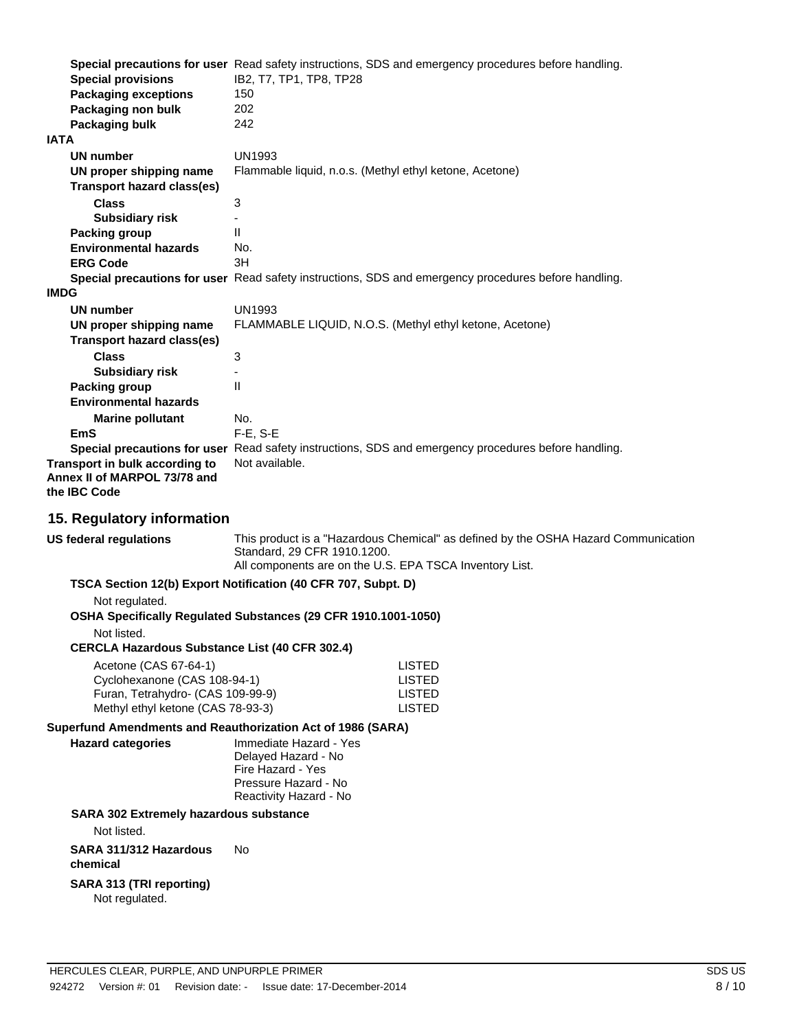|                                                     | Special precautions for user Read safety instructions, SDS and emergency procedures before handling. |
|-----------------------------------------------------|------------------------------------------------------------------------------------------------------|
| <b>Special provisions</b>                           | IB2, T7, TP1, TP8, TP28                                                                              |
| <b>Packaging exceptions</b>                         | 150                                                                                                  |
| Packaging non bulk                                  | 202                                                                                                  |
| Packaging bulk                                      | 242                                                                                                  |
| <b>IATA</b>                                         |                                                                                                      |
| UN number                                           | <b>UN1993</b>                                                                                        |
| UN proper shipping name                             | Flammable liquid, n.o.s. (Methyl ethyl ketone, Acetone)                                              |
| <b>Transport hazard class(es)</b>                   |                                                                                                      |
| <b>Class</b>                                        | 3                                                                                                    |
| <b>Subsidiary risk</b>                              |                                                                                                      |
| Packing group                                       | $\mathbf{H}$                                                                                         |
| <b>Environmental hazards</b>                        | No.                                                                                                  |
| <b>ERG Code</b>                                     | 3H                                                                                                   |
|                                                     | Special precautions for user Read safety instructions, SDS and emergency procedures before handling. |
| <b>IMDG</b>                                         |                                                                                                      |
| UN number                                           | <b>UN1993</b>                                                                                        |
| UN proper shipping name                             | FLAMMABLE LIQUID, N.O.S. (Methyl ethyl ketone, Acetone)                                              |
| <b>Transport hazard class(es)</b>                   |                                                                                                      |
| <b>Class</b>                                        | 3                                                                                                    |
| <b>Subsidiary risk</b>                              |                                                                                                      |
| Packing group                                       | $\mathbf{H}$                                                                                         |
| <b>Environmental hazards</b>                        |                                                                                                      |
| <b>Marine pollutant</b>                             | No.                                                                                                  |
| <b>EmS</b>                                          | F-E, S-E                                                                                             |
|                                                     | Special precautions for user Read safety instructions, SDS and emergency procedures before handling. |
| Transport in bulk according to                      | Not available.                                                                                       |
| Annex II of MARPOL 73/78 and<br>the <b>IBC</b> Code |                                                                                                      |
|                                                     |                                                                                                      |

#### **15. Regulatory information**

**US federal regulations** This product is a "Hazardous Chemical" as defined by the OSHA Hazard Communication Standard, 29 CFR 1910.1200. All components are on the U.S. EPA TSCA Inventory List. **TSCA Section 12(b) Export Notification (40 CFR 707, Subpt. D)** Not regulated. **OSHA Specifically Regulated Substances (29 CFR 1910.1001-1050)** Not listed. **CERCLA Hazardous Substance List (40 CFR 302.4)** Acetone (CAS 67-64-1) LISTED Cyclohexanone (CAS 108-94-1) LISTED Furan, Tetrahydro- (CAS 109-99-9) LISTED Methyl ethyl ketone (CAS 78-93-3) LISTED **Superfund Amendments and Reauthorization Act of 1986 (SARA) Hazard categories** Immediate Hazard - Yes Delayed Hazard - No Fire Hazard - Yes Pressure Hazard - No Reactivity Hazard - No **SARA 302 Extremely hazardous substance** Not listed. **SARA 311/312 Hazardous** No

**chemical**

#### **SARA 313 (TRI reporting)** Not regulated.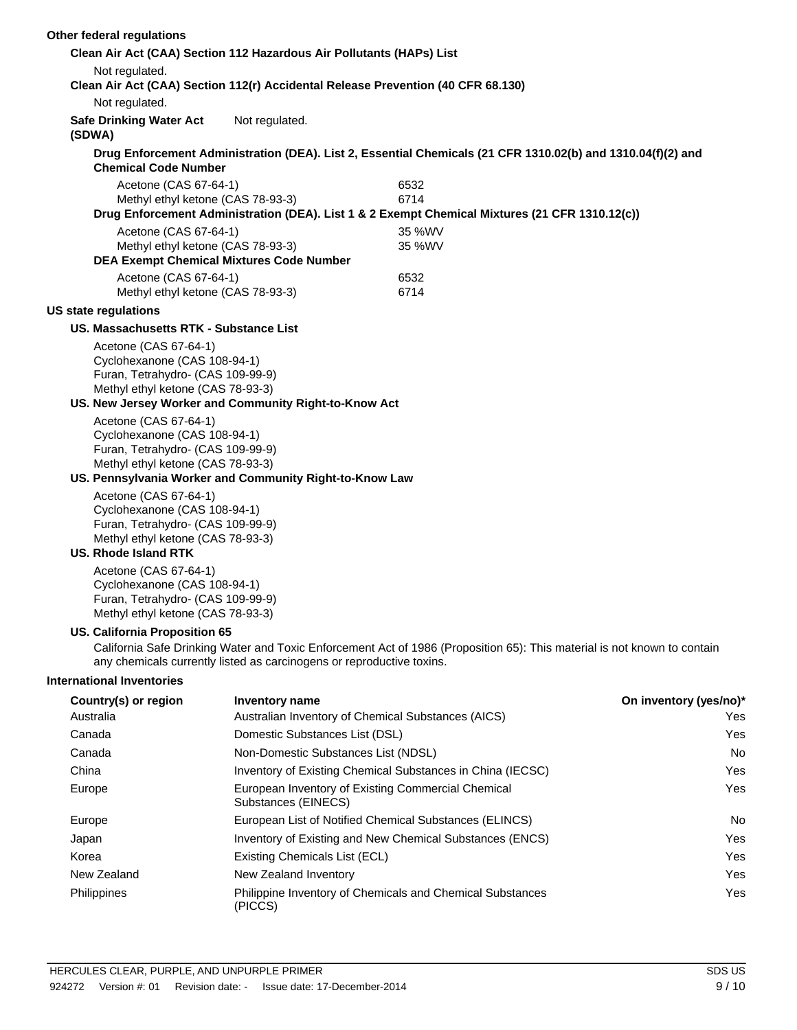| Other federal regulations                                              |                                                                                      |                                                                                                                          |                        |
|------------------------------------------------------------------------|--------------------------------------------------------------------------------------|--------------------------------------------------------------------------------------------------------------------------|------------------------|
|                                                                        | Clean Air Act (CAA) Section 112 Hazardous Air Pollutants (HAPs) List                 |                                                                                                                          |                        |
| Not regulated.                                                         |                                                                                      | Clean Air Act (CAA) Section 112(r) Accidental Release Prevention (40 CFR 68.130)                                         |                        |
| Not regulated.                                                         |                                                                                      |                                                                                                                          |                        |
| <b>Safe Drinking Water Act</b><br>(SDWA)                               | Not regulated.                                                                       |                                                                                                                          |                        |
| <b>Chemical Code Number</b>                                            |                                                                                      | Drug Enforcement Administration (DEA). List 2, Essential Chemicals (21 CFR 1310.02(b) and 1310.04(f)(2) and              |                        |
| Acetone (CAS 67-64-1)                                                  |                                                                                      | 6532                                                                                                                     |                        |
|                                                                        | Methyl ethyl ketone (CAS 78-93-3)                                                    | 6714                                                                                                                     |                        |
|                                                                        |                                                                                      | Drug Enforcement Administration (DEA). List 1 & 2 Exempt Chemical Mixtures (21 CFR 1310.12(c))                           |                        |
| Acetone (CAS 67-64-1)                                                  |                                                                                      | 35 %WV                                                                                                                   |                        |
|                                                                        | Methyl ethyl ketone (CAS 78-93-3)<br><b>DEA Exempt Chemical Mixtures Code Number</b> | 35 %WV                                                                                                                   |                        |
| Acetone (CAS 67-64-1)                                                  |                                                                                      | 6532                                                                                                                     |                        |
|                                                                        | Methyl ethyl ketone (CAS 78-93-3)                                                    | 6714                                                                                                                     |                        |
| <b>US state regulations</b>                                            |                                                                                      |                                                                                                                          |                        |
| US. Massachusetts RTK - Substance List                                 |                                                                                      |                                                                                                                          |                        |
| Acetone (CAS 67-64-1)                                                  |                                                                                      |                                                                                                                          |                        |
| Cyclohexanone (CAS 108-94-1)                                           |                                                                                      |                                                                                                                          |                        |
| Furan, Tetrahydro- (CAS 109-99-9)                                      |                                                                                      |                                                                                                                          |                        |
| Methyl ethyl ketone (CAS 78-93-3)                                      |                                                                                      |                                                                                                                          |                        |
|                                                                        | US. New Jersey Worker and Community Right-to-Know Act                                |                                                                                                                          |                        |
| Acetone (CAS 67-64-1)<br>Cyclohexanone (CAS 108-94-1)                  |                                                                                      |                                                                                                                          |                        |
| Furan, Tetrahydro- (CAS 109-99-9)                                      |                                                                                      |                                                                                                                          |                        |
| Methyl ethyl ketone (CAS 78-93-3)                                      |                                                                                      |                                                                                                                          |                        |
|                                                                        | US. Pennsylvania Worker and Community Right-to-Know Law                              |                                                                                                                          |                        |
| Acetone (CAS 67-64-1)                                                  |                                                                                      |                                                                                                                          |                        |
| Cyclohexanone (CAS 108-94-1)                                           |                                                                                      |                                                                                                                          |                        |
| Furan, Tetrahydro- (CAS 109-99-9)<br>Methyl ethyl ketone (CAS 78-93-3) |                                                                                      |                                                                                                                          |                        |
| <b>US. Rhode Island RTK</b>                                            |                                                                                      |                                                                                                                          |                        |
| Acetone (CAS 67-64-1)                                                  |                                                                                      |                                                                                                                          |                        |
| Cyclohexanone (CAS 108-94-1)                                           |                                                                                      |                                                                                                                          |                        |
| Furan, Tetrahydro- (CAS 109-99-9)                                      |                                                                                      |                                                                                                                          |                        |
| Methyl ethyl ketone (CAS 78-93-3)                                      |                                                                                      |                                                                                                                          |                        |
| US. California Proposition 65                                          |                                                                                      |                                                                                                                          |                        |
|                                                                        | any chemicals currently listed as carcinogens or reproductive toxins.                | California Safe Drinking Water and Toxic Enforcement Act of 1986 (Proposition 65): This material is not known to contain |                        |
| <b>International Inventories</b>                                       |                                                                                      |                                                                                                                          |                        |
| Country(s) or region                                                   | Inventory name                                                                       |                                                                                                                          | On inventory (yes/no)* |
| Australia                                                              |                                                                                      | Australian Inventory of Chemical Substances (AICS)                                                                       | Yes                    |
| Canada                                                                 | Domestic Substances List (DSL)                                                       |                                                                                                                          | Yes                    |
| Canada                                                                 | Non-Domestic Substances List (NDSL)                                                  |                                                                                                                          | No                     |
| China                                                                  |                                                                                      | Inventory of Existing Chemical Substances in China (IECSC)                                                               | Yes                    |
| Europe                                                                 | Substances (EINECS)                                                                  | European Inventory of Existing Commercial Chemical                                                                       | Yes                    |
| Europe                                                                 |                                                                                      | European List of Notified Chemical Substances (ELINCS)                                                                   | No                     |
| Japan                                                                  |                                                                                      | Inventory of Existing and New Chemical Substances (ENCS)                                                                 | Yes                    |
| Korea                                                                  | Existing Chemicals List (ECL)                                                        |                                                                                                                          | Yes                    |
| New Zealand                                                            | New Zealand Inventory                                                                |                                                                                                                          | Yes                    |
| Philippines                                                            | (PICCS)                                                                              | Philippine Inventory of Chemicals and Chemical Substances                                                                | Yes                    |